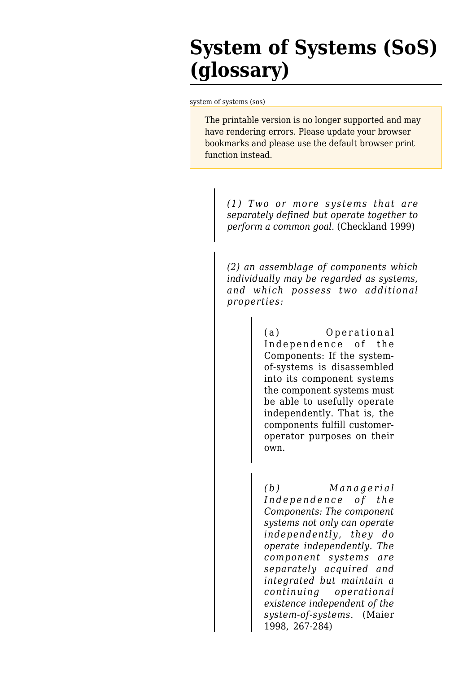## **System of Systems (SoS) (glossary)**

[system of systems \(sos\)](http://sebokwiki.org/wiki/System_of_Systems_(SoS)_(glossary))

The printable version is no longer supported and may have rendering errors. Please update your browser bookmarks and please use the default browser print function instead.

*(1) Two or more systems that are separately defined but operate together to perform a common goal.* (Checkland 1999)

*(2) an assemblage of components which individually may be regarded as systems, and which possess two additional properties:*

> (a) Operational Independence of the Components: If the systemof-systems is disassembled into its component systems the component systems must be able to usefully operate independently. That is, the components fulfill customeroperator purposes on their own.

*(b) Managerial Independence of the Components: The component systems not only can operate independently, they do operate independently. The component systems are separately acquired and integrated but maintain a continuing operational existence independent of the system-of-systems.* (Maier 1998, 267-284)